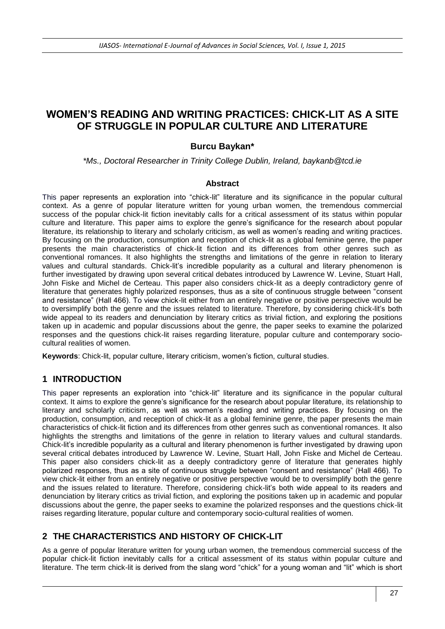# **WOMEN'S READING AND WRITING PRACTICES: CHICK-LIT AS A SITE OF STRUGGLE IN POPULAR CULTURE AND LITERATURE**

## **Burcu Baykan\***

*\*Ms., Doctoral Researcher in Trinity College Dublin, Ireland, baykanb@tcd.ie*

#### **Abstract**

This paper represents an exploration into "chick-lit" literature and its significance in the popular cultural context. As a genre of popular literature written for young urban women, the tremendous commercial success of the popular chick-lit fiction inevitably calls for a critical assessment of its status within popular culture and literature. This paper aims to explore the genre's significance for the research about popular literature, its relationship to literary and scholarly criticism, as well as women's reading and writing practices. By focusing on the production, consumption and reception of chick-lit as a global feminine genre, the paper presents the main characteristics of chick-lit fiction and its differences from other genres such as conventional romances. It also highlights the strengths and limitations of the genre in relation to literary values and cultural standards. Chick-lit's incredible popularity as a cultural and literary phenomenon is further investigated by drawing upon several critical debates introduced by Lawrence W. Levine, Stuart Hall, John Fiske and Michel de Certeau. This paper also considers chick-lit as a deeply contradictory genre of literature that generates highly polarized responses, thus as a site of continuous struggle between "consent and resistance" (Hall 466). To view chick-lit either from an entirely negative or positive perspective would be to oversimplify both the genre and the issues related to literature. Therefore, by considering chick-lit's both wide appeal to its readers and denunciation by literary critics as trivial fiction, and exploring the positions taken up in academic and popular discussions about the genre, the paper seeks to examine the polarized responses and the questions chick-lit raises regarding literature, popular culture and contemporary sociocultural realities of women.

**Keywords**: Chick-lit, popular culture, literary criticism, women's fiction, cultural studies.

## **1 INTRODUCTION**

This paper represents an exploration into "chick-lit" literature and its significance in the popular cultural context. It aims to explore the genre's significance for the research about popular literature, its relationship to literary and scholarly criticism, as well as women's reading and writing practices. By focusing on the production, consumption, and reception of chick-lit as a global feminine genre, the paper presents the main characteristics of chick-lit fiction and its differences from other genres such as conventional romances. It also highlights the strengths and limitations of the genre in relation to literary values and cultural standards. Chick-lit's incredible popularity as a cultural and literary phenomenon is further investigated by drawing upon several critical debates introduced by Lawrence W. Levine, Stuart Hall, John Fiske and Michel de Certeau. This paper also considers chick-lit as a deeply contradictory genre of literature that generates highly polarized responses, thus as a site of continuous struggle between "consent and resistance" (Hall 466). To view chick-lit either from an entirely negative or positive perspective would be to oversimplify both the genre and the issues related to literature. Therefore, considering chick-lit's both wide appeal to its readers and denunciation by literary critics as trivial fiction, and exploring the positions taken up in academic and popular discussions about the genre, the paper seeks to examine the polarized responses and the questions chick-lit raises regarding literature, popular culture and contemporary socio-cultural realities of women.

## **2 THE CHARACTERISTICS AND HISTORY OF CHICK-LIT**

As a genre of popular literature written for young urban women, the tremendous commercial success of the popular chick-lit fiction inevitably calls for a critical assessment of its status within popular culture and literature. The term chick-lit is derived from the slang word "chick" for a young woman and "lit" which is short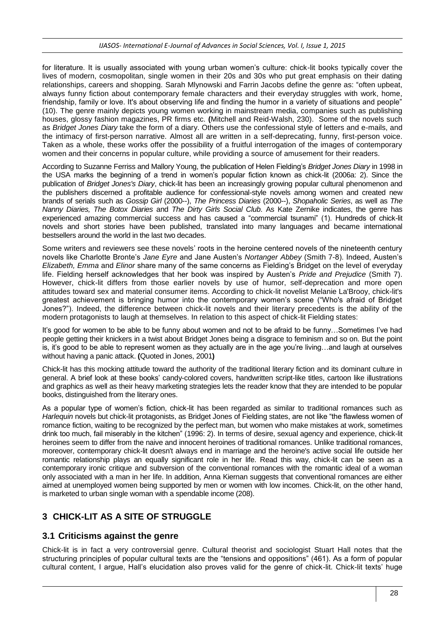#### *IJASOS- International E-Journal of Advances in Social Sciences, Vol. I, Issue 1, 2015*

for literature. It is usually associated with young urban women's culture: chick-lit books typically cover the lives of modern, cosmopolitan, single women in their 20s and 30s who put great emphasis on their dating relationships, careers and shopping. Sarah Mlynowski and Farrin Jacobs define the genre as: "often upbeat, always funny fiction about contemporary female characters and their everyday struggles with work, home, friendship, family or love. It's about observing life and finding the humor in a variety of situations and people" (10). The genre mainly depicts young women working in mainstream media, companies such as publishing houses, glossy fashion magazines, PR firms etc. **(**Mitchell and Reid-Walsh, 230). Some of the novels such as *Bridget Jones Diary* take the form of a diary. Others use the confessional style of letters and e-mails, and the intimacy of first-person narrative. Almost all are written in a self-deprecating, funny, first-person voice. Taken as a whole, these works offer the possibility of a fruitful interrogation of the images of contemporary women and their concerns in popular culture, while providing a source of amusement for their readers.

According to Suzanne Ferriss and Mallory Young, the publication of Helen Fielding's *Bridget Jones Diary* in 1998 in the USA marks the beginning of a trend in women's popular fiction known as chick-lit (2006a: 2). Since the publication of *Bridget Jones's Diary*, chick-lit has been an increasingly growing popular cultural phenomenon and the publishers discerned a profitable audience for confessional-style novels among women and created new brands of serials such as *Gossip Girl* (2000--), *The Princess Diaries* (2000--), *Shopaholic Series*, as well as *The Nanny Diaries, The Botox Diaries* and *The Dirty Girls Social Club*. As Kate Zernike indicates, the genre has experienced amazing commercial success and has caused a "commercial tsunami" (1). Hundreds of chick-lit novels and short stories have been published, translated into many languages and became international bestsellers around the world in the last two decades.

Some writers and reviewers see these novels' roots in the heroine centered novels of the nineteenth century novels like Charlotte Bronte's *Jane Eyre* and Jane Austen's *Nortanger Abbey* (Smith 7-8). Indeed, Austen's *Elizabeth, Emma* and *Elinor* share many of the same concerns as Fielding's Bridget on the level of everyday life. Fielding herself acknowledges that her book was inspired by Austen's *Pride and Prejudice* (Smith 7). However, chick-lit differs from those earlier novels by use of humor, self-deprecation and more open attitudes toward sex and material consumer items. According to chick-lit novelist Melanie La'Brooy, chick-lit's greatest achievement is bringing humor into the contemporary women's scene ("Who's afraid of Bridget Jones?"). Indeed, the difference between chick-lit novels and their literary precedents is the ability of the modern protagonists to laugh at themselves. In relation to this aspect of chick-lit Fielding states:

It's good for women to be able to be funny about women and not to be afraid to be funny...Sometimes I've had people getting their knickers in a twist about Bridget Jones being a disgrace to feminism and so on. But the point is, it's good to be able to represent women as they actually are in the age you're living…and laugh at ourselves without having a panic attack. **(**Quoted in Jones, 2001**)**

Chick-lit has this mocking attitude toward the authority of the traditional literary fiction and its dominant culture in general. A brief look at these books' candy-colored covers, handwritten script-like titles, cartoon like illustrations and graphics as well as their heavy marketing strategies lets the reader know that they are intended to be popular books, distinguished from the literary ones.

As a popular type of women's fiction, chick-lit has been regarded as similar to traditional romances such as *Harlequin* novels but chick-lit protagonists, as Bridget Jones of Fielding states, are not like "the flawless women of romance fiction, waiting to be recognized by the perfect man, but women who make mistakes at work, sometimes drink too much, fail miserably in the kitchen" (1996: 2). In terms of desire, sexual agency and experience, chick-lit heroines seem to differ from the naive and innocent heroines of traditional romances. Unlike traditional romances, moreover, contemporary chick-lit doesn't always end in marriage and the heroine's active social life outside her romantic relationship plays an equally significant role in her life. Read this way, chick-lit can be seen as a contemporary ironic critique and subversion of the conventional romances with the romantic ideal of a woman only associated with a man in her life. In addition, Anna Kiernan suggests that conventional romances are either aimed at unemployed women being supported by men or women with low incomes. Chick-lit, on the other hand, is marketed to urban single woman with a spendable income (208).

# **3 CHICK-LIT AS A SITE OF STRUGGLE**

## **3.1 Criticisms against the genre**

Chick-lit is in fact a very controversial genre. Cultural theorist and sociologist Stuart Hall notes that the structuring principles of popular cultural texts are the "tensions and oppositions" (461). As a form of popular cultural content, I argue, Hall's elucidation also proves valid for the genre of chick-lit. Chick-lit texts' huge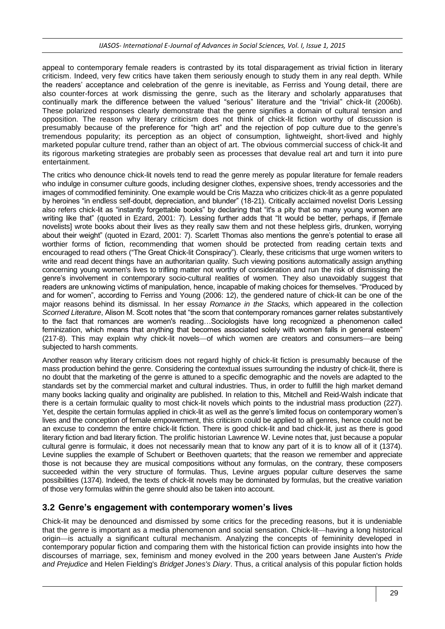appeal to contemporary female readers is contrasted by its total disparagement as trivial fiction in literary criticism. Indeed, very few critics have taken them seriously enough to study them in any real depth. While the readers' acceptance and celebration of the genre is inevitable, as Ferriss and Young detail, there are also counter-forces at work dismissing the genre, such as the literary and scholarly apparatuses that continually mark the difference between the valued "serious" literature and the "trivial" chick-lit (2006b). These polarized responses clearly demonstrate that the genre signifies a domain of cultural tension and opposition. The reason why literary criticism does not think of chick-lit fiction worthy of discussion is presumably because of the preference for "high art" and the rejection of pop culture due to the genre's tremendous popularity; its perception as an object of consumption, lightweight, short-lived and highly marketed popular culture trend, rather than an object of art. The obvious commercial success of chick-lit and its rigorous marketing strategies are probably seen as processes that devalue real art and turn it into pure entertainment.

The critics who denounce chick-lit novels tend to read the genre merely as popular literature for female readers who indulge in consumer culture goods, including designer clothes, expensive shoes, trendy accessories and the images of commodified femininity. One example would be Cris Mazza who criticizes chick-lit as a genre populated by heroines "in endless self-doubt, depreciation, and blunder" (18-21). Critically acclaimed novelist Doris Lessing also refers chick-lit as "instantly forgettable books" by declaring that "it's a pity that so many young women are writing like that" (quoted in Ezard, 2001: 7). Lessing further adds that "It would be better, perhaps, if [female novelists] wrote books about their lives as they really saw them and not these helpless girls, drunken, worrying about their weight" (quoted in Ezard, 2001: 7). Scarlett Thomas also mentions the genre's potential to erase all worthier forms of fiction, recommending that women should be protected from reading certain texts and encouraged to read others ("The Great Chick-lit Conspiracy"). Clearly, these criticisms that urge women writers to write and read decent things have an authoritarian quality. Such viewing positions automatically assign anything concerning young women's lives to trifling matter not worthy of consideration and run the risk of dismissing the genre's involvement in contemporary socio-cultural realities of women. They also unavoidably suggest that readers are unknowing victims of manipulation, hence, incapable of making choices for themselves. "Produced by and for women", according to Ferriss and Young (2006: 12), the gendered nature of chick-lit can be one of the major reasons behind its dismissal. In her essay *Romance in the Stacks,* which appeared in the collection *Scorned Literature*, Alison M. Scott notes that "the scorn that contemporary romances garner relates substantively to the fact that romances are women's reading…Sociologists have long recognized a phenomenon called feminization, which means that anything that becomes associated solely with women falls in general esteem" (217-8). This may explain why chick-lit novels—of which women are creators and consumers—are being subjected to harsh comments.

Another reason why literary criticism does not regard highly of chick-lit fiction is presumably because of the mass production behind the genre. Considering the contextual issues surrounding the industry of chick-lit, there is no doubt that the marketing of the genre is attuned to a specific demographic and the novels are adapted to the standards set by the commercial market and cultural industries. Thus, in order to fulfill the high market demand many books lacking quality and originality are published. In relation to this, Mitchell and Reid-Walsh indicate that there is a certain formulaic quality to most chick-lit novels which points to the industrial mass production (227). Yet, despite the certain formulas applied in chick-lit as well as the genre's limited focus on contemporary women's lives and the conception of female empowerment, this criticism could be applied to all genres, hence could not be an excuse to condemn the entire chick-lit fiction. There is good chick-lit and bad chick-lit, just as there is good literary fiction and bad literary fiction. The prolific historian Lawrence W. Levine notes that, just because a popular cultural genre is formulaic, it does not necessarily mean that to know any part of it is to know all of it (1374). Levine supplies the example of Schubert or Beethoven quartets; that the reason we remember and appreciate those is not because they are musical compositions without any formulas, on the contrary, these composers succeeded within the very structure of formulas. Thus, Levine argues popular culture deserves the same possibilities (1374). Indeed, the texts of chick-lit novels may be dominated by formulas, but the creative variation of those very formulas within the genre should also be taken into account.

## **3.2 Genre's engagement with contemporary women's lives**

Chick-lit may be denounced and dismissed by some critics for the preceding reasons, but it is undeniable that the genre is important as a media phenomenon and social sensation. Chick-lit—having a long historical origin—is actually a significant cultural mechanism. Analyzing the concepts of femininity developed in contemporary popular fiction and comparing them with the historical fiction can provide insights into how the discourses of marriage, sex, feminism and money evolved in the 200 years between Jane Austen's *Pride and Prejudice* and Helen Fielding's *Bridget Jones's Diary*. Thus, a critical analysis of this popular fiction holds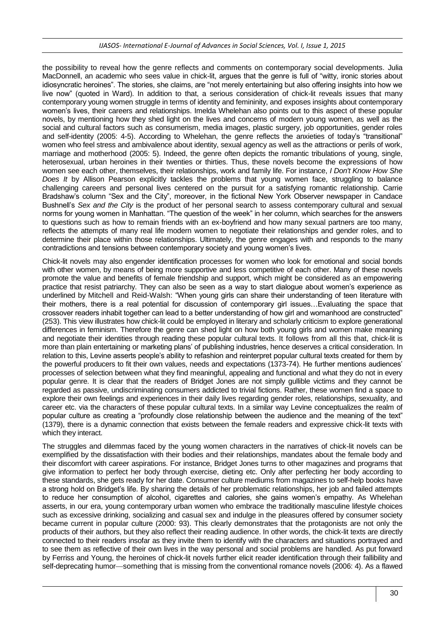#### *IJASOS- International E-Journal of Advances in Social Sciences, Vol. I, Issue 1, 2015*

the possibility to reveal how the genre reflects and comments on contemporary social developments. Julia MacDonnell, an academic who sees value in chick-lit, argues that the genre is full of "witty, ironic stories about idiosyncratic heroines". The stories, she claims, are "not merely entertaining but also offering insights into how we live now" (quoted in Ward). In addition to that, a serious consideration of chick-lit reveals issues that many contemporary young women struggle in terms of identity and femininity, and exposes insights about contemporary women's lives, their careers and relationships. Imelda Whelehan also points out to this aspect of these popular novels, by mentioning how they shed light on the lives and concerns of modern young women, as well as the social and cultural factors such as consumerism, media images, plastic surgery, job opportunities, gender roles and self-identity (2005: 4-5). According to Whelehan, the genre reflects the anxieties of today's "transitional" women who feel stress and ambivalence about identity, sexual agency as well as the attractions or perils of work, marriage and motherhood (2005: 5). Indeed, the genre often depicts the romantic tribulations of young, single, heterosexual, urban heroines in their twenties or thirties. Thus, these novels become the expressions of how women see each other, themselves, their relationships, work and family life. For instance, *I Don't Know How She Does It* by Allison Pearson explicitly tackles the problems that young women face, struggling to balance challenging careers and personal lives centered on the pursuit for a satisfying romantic relationship. Carrie Bradshaw's column "Sex and the City", moreover, in the fictional New York Observer newspaper in Candace Bushnell's *Sex and the City* is the product of her personal search to assess contemporary cultural and sexual norms for young women in Manhattan. "The question of the week" in her column, which searches for the answers to questions such as how to remain friends with an ex-boyfriend and how many sexual partners are too many, reflects the attempts of many real life modern women to negotiate their relationships and gender roles, and to determine their place within those relationships. Ultimately, the genre engages with and responds to the many contradictions and tensions between contemporary society and young women's lives.

Chick-lit novels may also engender identification processes for women who look for emotional and social bonds with other women, by means of being more supportive and less competitive of each other. Many of these novels promote the value and benefits of female friendship and support, which might be considered as an empowering practice that resist patriarchy. They can also be seen as a way to start dialogue about women's experience as underlined by Mitchell and Reid-Walsh: "When young girls can share their understanding of teen literature with their mothers, there is a real potential for discussion of contemporary girl issues…Evaluating the space that crossover readers inhabit together can lead to a better understanding of how girl and womanhood are constructed" (253). This view illustrates how chick-lit could be employed in literary and scholarly criticism to explore generational differences in feminism. Therefore the genre can shed light on how both young girls and women make meaning and negotiate their identities through reading these popular cultural texts. It follows from all this that, chick-lit is more than plain entertaining or marketing plans' of publishing industries, hence deserves a critical consideration. In relation to this, Levine asserts people's ability to refashion and reinterpret popular cultural texts created for them by the powerful producers to fit their own values, needs and expectations (1373-74). He further mentions audiences' processes of selection between what they find meaningful, appealing and functional and what they do not in every popular genre. It is clear that the readers of Bridget Jones are not simply gullible victims and they cannot be regarded as passive, undiscriminating consumers addicted to trivial fictions. Rather, these women find a space to explore their own feelings and experiences in their daily lives regarding gender roles, relationships, sexuality, and career etc. via the characters of these popular cultural texts. In a similar way Levine conceptualizes the realm of popular culture as creating a "profoundly close relationship between the audience and the meaning of the text" (1379), there is a dynamic connection that exists between the female readers and expressive chick-lit texts with which they interact.

The struggles and dilemmas faced by the young women characters in the narratives of chick-lit novels can be exemplified by the dissatisfaction with their bodies and their relationships, mandates about the female body and their discomfort with career aspirations. For instance, Bridget Jones turns to other magazines and programs that give information to perfect her body through exercise, dieting etc. Only after perfecting her body according to these standards, she gets ready for her date. Consumer culture mediums from magazines to self-help books have a strong hold on Bridget's life. By sharing the details of her problematic relationships, her job and failed attempts to reduce her consumption of alcohol, cigarettes and calories, she gains women's empathy. As Whelehan asserts, in our era, young contemporary urban women who embrace the traditionally masculine lifestyle choices such as excessive drinking, socializing and casual sex and indulge in the pleasures offered by consumer society became current in popular culture (2000: 93). This clearly demonstrates that the protagonists are not only the products of their authors, but they also reflect their reading audience. In other words, the chick-lit texts are directly connected to their readers insofar as they invite them to identify with the characters and situations portrayed and to see them as reflective of their own lives in the way personal and social problems are handled. As put forward by Ferriss and Young, the heroines of chick-lit novels further elicit reader identification through their fallibility and self-deprecating humor—something that is missing from the conventional romance novels (2006: 4). As a flawed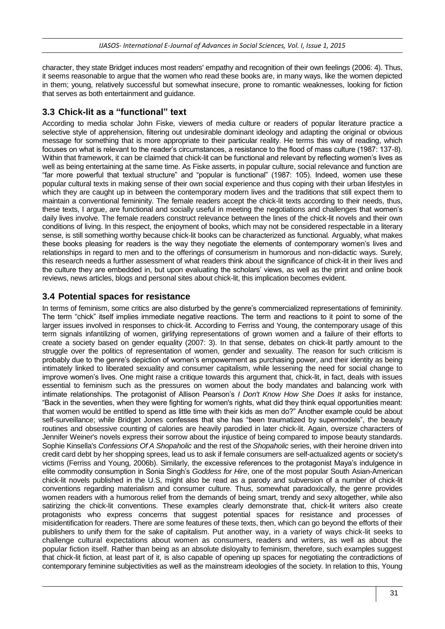character, they state Bridget induces most readers' empathy and recognition of their own feelings (2006: 4). Thus, it seems reasonable to argue that the women who read these books are, in many ways, like the women depicted in them; young, relatively successful but somewhat insecure, prone to romantic weaknesses, looking for fiction that serves as both entertainment and guidance.

#### **3.3 Chick-lit as a "functional" text**

According to media scholar John Fiske, viewers of media culture or readers of popular literature practice a selective style of apprehension, filtering out undesirable dominant ideology and adapting the original or obvious message for something that is more appropriate to their particular reality. He terms this way of reading, which focuses on what is relevant to the reader's circumstances, a resistance to the flood of mass culture (1987: 137-8). Within that framework, it can be claimed that chick-lit can be functional and relevant by reflecting women's lives as well as being entertaining at the same time. As Fiske asserts, in popular culture, social relevance and function are "far more powerful that textual structure" and "popular is functional" (1987: 105). Indeed, women use these popular cultural texts in making sense of their own social experience and thus coping with their urban lifestyles in which they are caught up in between the contemporary modern lives and the traditions that still expect them to maintain a conventional femininity. The female readers accept the chick-lit texts according to their needs, thus, these texts, I argue, are functional and socially useful in meeting the negotiations and challenges that women's daily lives involve. The female readers construct relevance between the lines of the chick-lit novels and their own conditions of living. In this respect, the enjoyment of books, which may not be considered respectable in a literary sense, is still something worthy because chick-lit books can be characterized as functional. Arguably, what makes these books pleasing for readers is the way they negotiate the elements of contemporary women's lives and relationships in regard to men and to the offerings of consumerism in humorous and non-didactic ways. Surely, this research needs a further assessment of what readers think about the significance of chick-lit in their lives and the culture they are embedded in, but upon evaluating the scholars' views, as well as the print and online book reviews, news articles, blogs and personal sites about chick-lit, this implication becomes evident.

#### **3.4 Potential spaces for resistance**

In terms of feminism, some critics are also disturbed by the genre's commercialized representations of femininity. The term "chick" itself implies immediate negative reactions. The term and reactions to it point to some of the larger issues involved in responses to chick-lit. According to Ferriss and Young, the contemporary usage of this term signals infantilizing of women, girlifying representations of grown women and a failure of their efforts to create a society based on gender equality (2007: 3). In that sense, debates on chick-lit partly amount to the struggle over the politics of representation of women, gender and sexuality. The reason for such criticism is probably due to the genre's depiction of women's empowerment as purchasing power, and their identity as being intimately linked to liberated sexuality and consumer capitalism, while lessening the need for social change to improve women's lives. One might raise a critique towards this argument that, chick-lit, in fact, deals with issues essential to feminism such as the pressures on women about the body mandates and balancing work with intimate relationships. The protagonist of Allison Pearson's *I Don't Know How She Does It* asks for instance, "Back in the seventies, when they were fighting for women's rights, what did they think equal opportunities meant: that women would be entitled to spend as little time with their kids as men do?" Another example could be about self-surveillance; while Bridget Jones confesses that she has "been traumatized by supermodels", the beauty routines and obsessive counting of calories are heavily parodied in later chick-lit. Again, oversize characters of Jennifer Weiner's novels express their sorrow about the injustice of being compared to impose beauty standards. Sophie Kinsella's *Confessions Of A Shopaholic* and the rest of the *Shopaholic* series, with their heroine driven into credit card debt by her shopping sprees, lead us to ask if female consumers are self-actualized agents or society's victims (Ferriss and Young, 2006b). Similarly, the excessive references to the protagonist Maya's indulgence in elite commodity consumption in Sonia Singh's *Goddess for Hire*, one of the most popular South Asian-American chick-lit novels published in the U.S, might also be read as a parody and subversion of a number of chick-lit conventions regarding materialism and consumer culture. Thus, somewhat paradoxically, the genre provides women readers with a humorous relief from the demands of being smart, trendy and sexy altogether, while also satirizing the chick-lit conventions. These examples clearly demonstrate that, chick-lit writers also create protagonists who express concerns that suggest potential spaces for resistance and processes of misidentification for readers. There are some features of these texts, then, which can go beyond the efforts of their publishers to unify them for the sake of capitalism. Put another way, in a variety of ways chick-lit seeks to challenge cultural expectations about women as consumers, readers and writers, as well as about the popular fiction itself. Rather than being as an absolute disloyalty to feminism, therefore, such examples suggest that chick-lit fiction, at least part of it, is also capable of opening up spaces for negotiating the contradictions of contemporary feminine subjectivities as well as the mainstream ideologies of the society. In relation to this, Young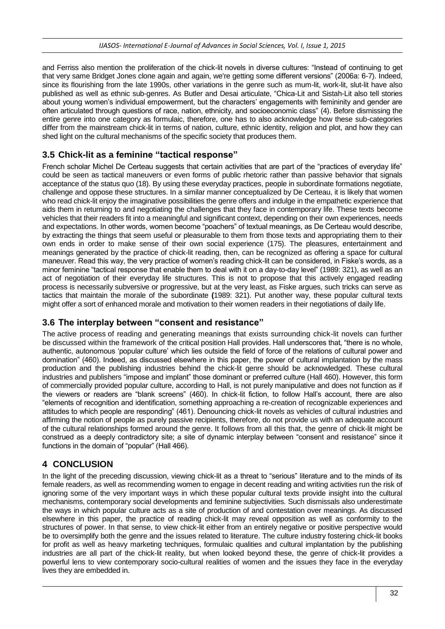and Ferriss also mention the proliferation of the chick-lit novels in diverse cultures: "Instead of continuing to get that very same Bridget Jones clone again and again, we're getting some different versions" (2006a: 6-7). Indeed, since its flourishing from the late 1990s, other variations in the genre such as mum-lit, work-lit, slut-lit have also published as well as ethnic sub-genres. As Butler and Desai articulate, "Chica-Lit and Sistah-Lit also tell stories about young women's individual empowerment, but the characters' engagements with femininity and gender are often articulated through questions of race, nation, ethnicity, and socioeconomic class" (4). Before dismissing the entire genre into one category as formulaic, therefore, one has to also acknowledge how these sub-categories differ from the mainstream chick-lit in terms of nation, culture, ethnic identity, religion and plot, and how they can shed light on the cultural mechanisms of the specific society that produces them.

## **3.5 Chick-lit as a feminine "tactical response"**

French scholar Michel De Certeau suggests that certain activities that are part of the "practices of everyday life" could be seen as tactical maneuvers or even forms of public rhetoric rather than passive behavior that signals acceptance of the status quo (18). By using these everyday practices, people in subordinate formations negotiate, challenge and oppose these structures. In a similar manner conceptualized by De Certeau, it is likely that women who read chick-lit enjoy the imaginative possibilities the genre offers and indulge in the empathetic experience that aids them in returning to and negotiating the challenges that they face in contemporary life. These texts become vehicles that their readers fit into a meaningful and significant context, depending on their own experiences, needs and expectations. In other words, women become "poachers" of textual meanings, as De Certeau would describe, by extracting the things that seem useful or pleasurable to them from those texts and appropriating them to their own ends in order to make sense of their own social experience (175). The pleasures, entertainment and meanings generated by the practice of chick-lit reading, then, can be recognized as offering a space for cultural maneuver. Read this way, the very practice of women's reading chick-lit can be considered, in Fiske's words, as a minor feminine "tactical response that enable them to deal with it on a day-to-day level" (1989: 321), as well as an act of negotiation of their everyday life structures. This is not to propose that this actively engaged reading process is necessarily subversive or progressive, but at the very least, as Fiske argues, such tricks can serve as tactics that maintain the morale of the subordinate **(**1989: 321). Put another way, these popular cultural texts might offer a sort of enhanced morale and motivation to their women readers in their negotiations of daily life.

## **3.6 The interplay between "consent and resistance"**

The active process of reading and generating meanings that exists surrounding chick-lit novels can further be discussed within the framework of the critical position Hall provides. Hall underscores that, "there is no whole, authentic, autonomous 'popular culture' which lies outside the field of force of the relations of cultural power and domination" (460). Indeed, as discussed elsewhere in this paper, the power of cultural implantation by the mass production and the publishing industries behind the chick-lit genre should be acknowledged. These cultural industries and publishers "impose and implant" those dominant or preferred culture (Hall 460). However, this form of commercially provided popular culture, according to Hall, is not purely manipulative and does not function as if the viewers or readers are "blank screens" (460). In chick-lit fiction, to follow Hall's account, there are also "elements of recognition and identification, something approaching a re-creation of recognizable experiences and attitudes to which people are responding" (461). Denouncing chick-lit novels as vehicles of cultural industries and affirming the notion of people as purely passive recipients, therefore, do not provide us with an adequate account of the cultural relationships formed around the genre. It follows from all this that, the genre of chick-lit might be construed as a deeply contradictory site; a site of dynamic interplay between "consent and resistance" since it functions in the domain of "popular" (Hall 466).

## **4 CONCLUSION**

In the light of the preceding discussion, viewing chick-lit as a threat to "serious" literature and to the minds of its female readers, as well as recommending women to engage in decent reading and writing activities run the risk of ignoring some of the very important ways in which these popular cultural texts provide insight into the cultural mechanisms, contemporary social developments and feminine subjectivities. Such dismissals also underestimate the ways in which popular culture acts as a site of production of and contestation over meanings. As discussed elsewhere in this paper, the practice of reading chick-lit may reveal opposition as well as conformity to the structures of power. In that sense, to view chick-lit either from an entirely negative or positive perspective would be to oversimplify both the genre and the issues related to literature. The culture industry fostering chick-lit books for profit as well as heavy marketing techniques, formulaic qualities and cultural implantation by the publishing industries are all part of the chick-lit reality, but when looked beyond these, the genre of chick-lit provides a powerful lens to view contemporary socio-cultural realities of women and the issues they face in the everyday lives they are embedded in.